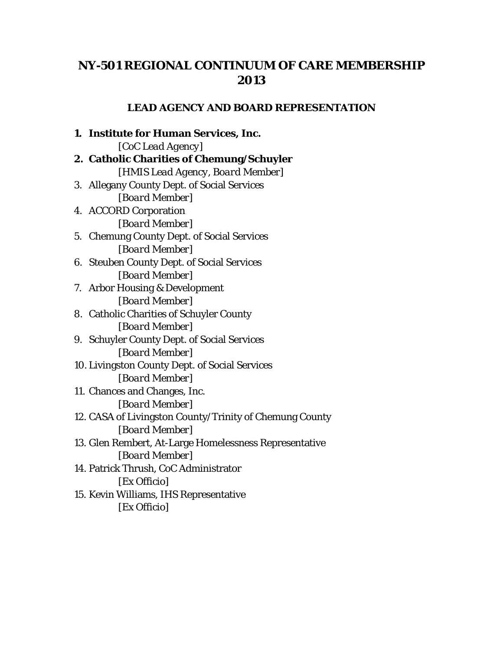## **NY-501 REGIONAL CONTINUUM OF CARE MEMBERSHIP 2013**

## **LEAD AGENCY AND BOARD REPRESENTATION**

**1. Institute for Human Services, Inc.** [*CoC Lead Agency*] **2. Catholic Charities of Chemung/Schuyler** [*HMIS Lead Agency, Board Member*] 3. Allegany County Dept. of Social Services [*Board Member*] 4. ACCORD Corporation [*Board Member*] 5. Chemung County Dept. of Social Services [*Board Member*] 6. Steuben County Dept. of Social Services [*Board Member*] 7. Arbor Housing & Development [*Board Member*] 8. Catholic Charities of Schuyler County [*Board Member*] 9. Schuyler County Dept. of Social Services [*Board Member*] 10. Livingston County Dept. of Social Services [*Board Member*] 11. Chances and Changes, Inc. [*Board Member*] 12. CASA of Livingston County/Trinity of Chemung County [*Board Member*] 13. Glen Rembert, At-Large Homelessness Representative [*Board Member*] 14. Patrick Thrush, CoC Administrator [*Ex Officio*] 15. Kevin Williams, IHS Representative [*Ex Officio*]